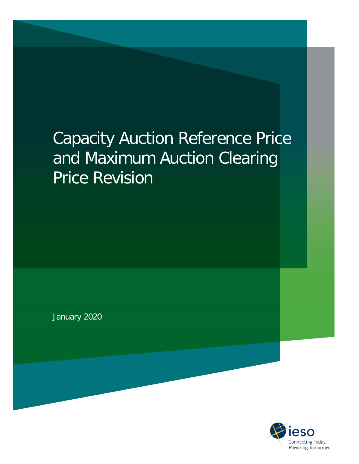# Capacity Auction Reference Price and Maximum Auction Clearing Price Revision

January 2020

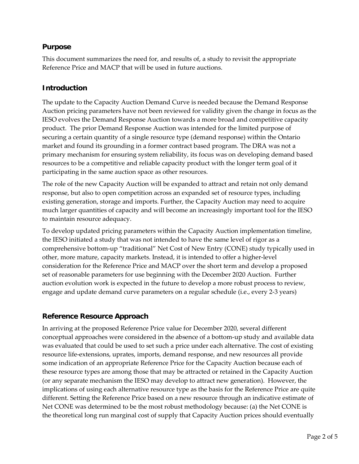#### **Purpose**

This document summarizes the need for, and results of, a study to revisit the appropriate Reference Price and MACP that will be used in future auctions.

#### **Introduction**

The update to the Capacity Auction Demand Curve is needed because the Demand Response Auction pricing parameters have not been reviewed for validity given the change in focus as the IESO evolves the Demand Response Auction towards a more broad and competitive capacity product. The prior Demand Response Auction was intended for the limited purpose of securing a certain quantity of a single resource type (demand response) within the Ontario market and found its grounding in a former contract based program. The DRA was not a primary mechanism for ensuring system reliability, its focus was on developing demand based resources to be a competitive and reliable capacity product with the longer term goal of it participating in the same auction space as other resources.

The role of the new Capacity Auction will be expanded to attract and retain not only demand response, but also to open competition across an expanded set of resource types, including existing generation, storage and imports. Further, the Capacity Auction may need to acquire much larger quantities of capacity and will become an increasingly important tool for the IESO to maintain resource adequacy.

To develop updated pricing parameters within the Capacity Auction implementation timeline, the IESO initiated a study that was not intended to have the same level of rigor as a comprehensive bottom-up "traditional" Net Cost of New Entry (CONE) study typically used in other, more mature, capacity markets. Instead, it is intended to offer a higher-level consideration for the Reference Price and MACP over the short term and develop a proposed set of reasonable parameters for use beginning with the December 2020 Auction. Further auction evolution work is expected in the future to develop a more robust process to review, engage and update demand curve parameters on a regular schedule (i.e., every 2-3 years)

## **Reference Resource Approach**

In arriving at the proposed Reference Price value for December 2020, several different conceptual approaches were considered in the absence of a bottom-up study and available data was evaluated that could be used to set such a price under each alternative. The cost of existing resource life-extensions, uprates, imports, demand response, and new resources all provide some indication of an appropriate Reference Price for the Capacity Auction because each of these resource types are among those that may be attracted or retained in the Capacity Auction (or any separate mechanism the IESO may develop to attract new generation). However, the implications of using each alternative resource type as the basis for the Reference Price are quite different. Setting the Reference Price based on a new resource through an indicative estimate of Net CONE was determined to be the most robust methodology because: (a) the Net CONE is the theoretical long run marginal cost of supply that Capacity Auction prices should eventually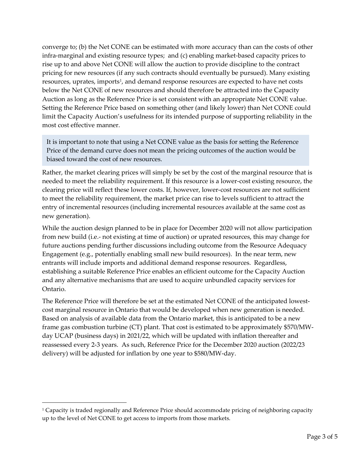converge to; (b) the Net CONE can be estimated with more accuracy than can the costs of other infra-marginal and existing resource types; and (c) enabling market-based capacity prices to rise up to and above Net CONE will allow the auction to provide discipline to the contract pricing for new resources (if any such contracts should eventually be pursued). Many existing resources, uprates, imports<sup>1</sup>, and demand response resources are expected to have net costs below the Net CONE of new resources and should therefore be attracted into the Capacity Auction as long as the Reference Price is set consistent with an appropriate Net CONE value. Setting the Reference Price based on something other (and likely lower) than Net CONE could limit the Capacity Auction's usefulness for its intended purpose of supporting reliability in the most cost effective manner.

It is important to note that using a Net CONE value as the basis for setting the Reference Price of the demand curve does not mean the pricing outcomes of the auction would be biased toward the cost of new resources.

Rather, the market clearing prices will simply be set by the cost of the marginal resource that is needed to meet the reliability requirement. If this resource is a lower-cost existing resource, the clearing price will reflect these lower costs. If, however, lower-cost resources are not sufficient to meet the reliability requirement, the market price can rise to levels sufficient to attract the entry of incremental resources (including incremental resources available at the same cost as new generation).

While the auction design planned to be in place for December 2020 will not allow participation from new build (i.e.- not existing at time of auction) or uprated resources, this may change for future auctions pending further discussions including outcome from the Resource Adequacy Engagement (e.g., potentially enabling small new build resources). In the near term, new entrants will include imports and additional demand response resources. Regardless, establishing a suitable Reference Price enables an efficient outcome for the Capacity Auction and any alternative mechanisms that are used to acquire unbundled capacity services for Ontario.

The Reference Price will therefore be set at the estimated Net CONE of the anticipated lowestcost marginal resource in Ontario that would be developed when new generation is needed. Based on analysis of available data from the Ontario market, this is anticipated to be a new frame gas combustion turbine (CT) plant. That cost is estimated to be approximately \$570/MWday UCAP (business days) in 2021/22, which will be updated with inflation thereafter and reassessed every 2-3 years. As such, Reference Price for the December 2020 auction (2022/23 delivery) will be adjusted for inflation by one year to \$580/MW-day.

<span id="page-2-0"></span><sup>1</sup> Capacity is traded regionally and Reference Price should accommodate pricing of neighboring capacity up to the level of Net CONE to get access to imports from those markets.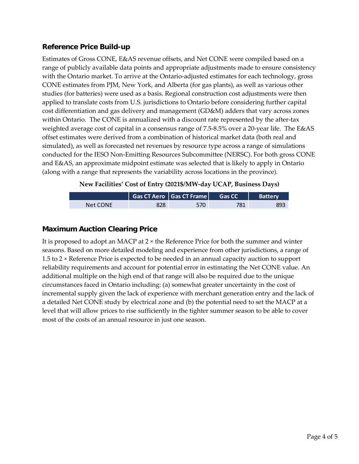## **Reference Price Build-up**

Estimates of Gross CONE, E&AS revenue offsets, and Net CONE were compiled based on a range of publicly available data points and appropriate adjustments made to ensure consistency with the Ontario market. To arrive at the Ontario-adjusted estimates for each technology, gross CONE estimates from PJM, New York, and Alberta (for gas plants), as well as various other studies (for batteries) were used as a basis. Regional construction cost adjustments were then applied to translate costs from U.S. jurisdictions to Ontario before considering further capital cost differentiation and gas delivery and management (GD&M) adders that vary across zones within Ontario. The CONE is annualized with a discount rate represented by the after-tax weighted average cost of capital in a consensus range of 7.5-8.5% over a 20-year life. The E&AS offset estimates were derived from a combination of historical market data (both real and simulated), as well as forecasted net revenues by resource type across a range of simulations conducted for the IESO Non-Emitting Resources Subcommittee (NERSC). For both gross CONE and E&AS, an approximate midpoint estimate was selected that is likely to apply in Ontario (along with a range that represents the variability across locations in the province).

**New Facilities' Cost of Entry (2021\$/MW-day UCAP, Business Days)**

|          | $\mid$ Gas CT Aero $\mid$ Gas CT Frame $\mid$ | Gas CC | <b>Batterv</b> |
|----------|-----------------------------------------------|--------|----------------|
| Net CONE | 570                                           | 781    | 89.            |

# **Maximum Auction Clearing Price**

It is proposed to adopt an MACP at 2 × the Reference Price for both the summer and winter seasons. Based on more detailed modeling and experience from other jurisdictions, a range of 1.5 to 2 × Reference Price is expected to be needed in an annual capacity auction to support reliability requirements and account for potential error in estimating the Net CONE value. An additional multiple on the high end of that range will also be required due to the unique circumstances faced in Ontario including: (a) somewhat greater uncertainty in the cost of incremental supply given the lack of experience with merchant generation entry and the lack of a detailed Net CONE study by electrical zone and (b) the potential need to set the MACP at a level that will allow prices to rise sufficiently in the tighter summer season to be able to cover most of the costs of an annual resource in just one season.